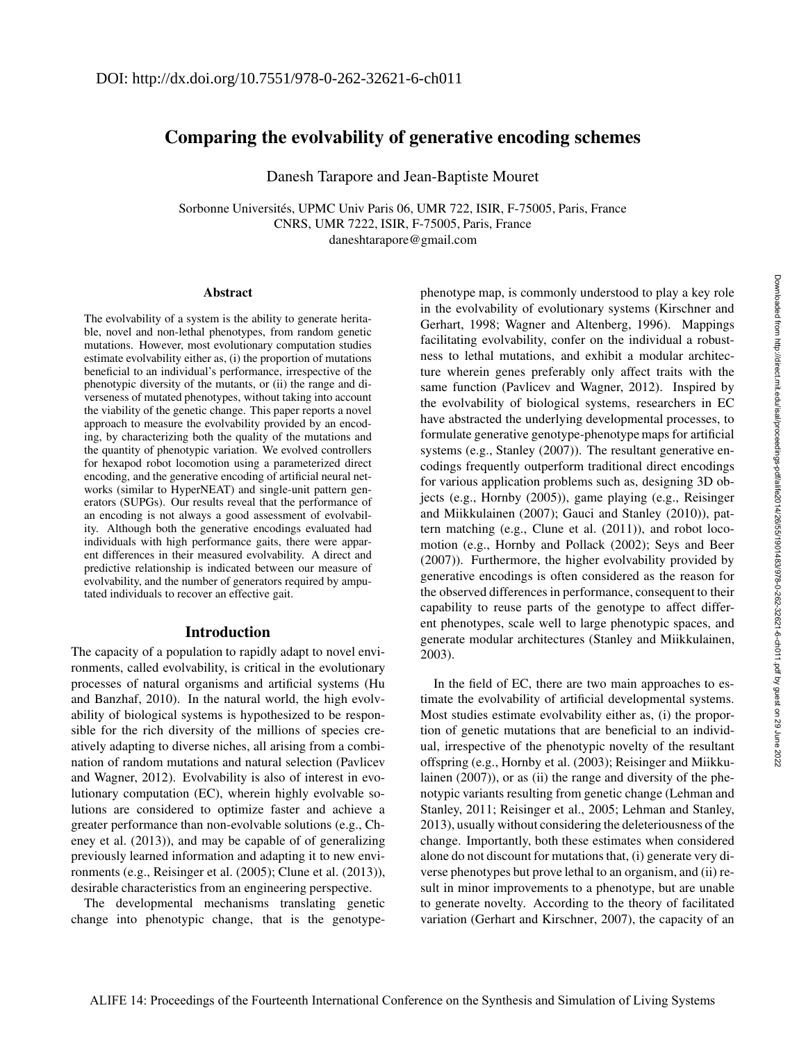# Comparing the evolvability of generative encoding schemes

Danesh Tarapore and Jean-Baptiste Mouret

Sorbonne Universités, UPMC Univ Paris 06, UMR 722, ISIR, F-75005, Paris, France CNRS, UMR 7222, ISIR, F-75005, Paris, France daneshtarapore@gmail.com

#### **Abstract**

The evolvability of a system is the ability to generate heritable, novel and non-lethal phenotypes, from random genetic mutations. However, most evolutionary computation studies estimate evolvability either as, (i) the proportion of mutations beneficial to an individual's performance, irrespective of the phenotypic diversity of the mutants, or (ii) the range and diverseness of mutated phenotypes, without taking into account the viability of the genetic change. This paper reports a novel approach to measure the evolvability provided by an encoding, by characterizing both the quality of the mutations and the quantity of phenotypic variation. We evolved controllers for hexapod robot locomotion using a parameterized direct encoding, and the generative encoding of artificial neural networks (similar to HyperNEAT) and single-unit pattern generators (SUPGs). Our results reveal that the performance of an encoding is not always a good assessment of evolvability. Although both the generative encodings evaluated had individuals with high performance gaits, there were apparent differences in their measured evolvability. A direct and predictive relationship is indicated between our measure of evolvability, and the number of generators required by amputated individuals to recover an effective gait.

# Introduction

The capacity of a population to rapidly adapt to novel environments, called evolvability, is critical in the evolutionary processes of natural organisms and artificial systems (Hu and Banzhaf, 2010). In the natural world, the high evolvability of biological systems is hypothesized to be responsible for the rich diversity of the millions of species creatively adapting to diverse niches, all arising from a combination of random mutations and natural selection (Pavlicev and Wagner, 2012). Evolvability is also of interest in evolutionary computation (EC), wherein highly evolvable solutions are considered to optimize faster and achieve a greater performance than non-evolvable solutions (e.g., Cheney et al. (2013)), and may be capable of of generalizing previously learned information and adapting it to new environments (e.g., Reisinger et al. (2005); Clune et al. (2013)), desirable characteristics from an engineering perspective.

The developmental mechanisms translating genetic change into phenotypic change, that is the genotypephenotype map, is commonly understood to play a key role in the evolvability of evolutionary systems (Kirschner and Gerhart, 1998; Wagner and Altenberg, 1996). Mappings facilitating evolvability, confer on the individual a robustness to lethal mutations, and exhibit a modular architecture wherein genes preferably only affect traits with the same function (Pavlicev and Wagner, 2012). Inspired by the evolvability of biological systems, researchers in EC have abstracted the underlying developmental processes, to formulate generative genotype-phenotype maps for artificial systems (e.g., Stanley (2007)). The resultant generative encodings frequently outperform traditional direct encodings for various application problems such as, designing 3D objects (e.g., Hornby (2005)), game playing (e.g., Reisinger and Miikkulainen (2007); Gauci and Stanley (2010)), pattern matching (e.g., Clune et al. (2011)), and robot locomotion (e.g., Hornby and Pollack (2002); Seys and Beer (2007)). Furthermore, the higher evolvability provided by generative encodings is often considered as the reason for the observed differences in performance, consequent to their capability to reuse parts of the genotype to affect different phenotypes, scale well to large phenotypic spaces, and generate modular architectures (Stanley and Miikkulainen, 2003).

In the field of EC, there are two main approaches to estimate the evolvability of artificial developmental systems. Most studies estimate evolvability either as, (i) the proportion of genetic mutations that are beneficial to an individual, irrespective of the phenotypic novelty of the resultant offspring (e.g., Hornby et al. (2003); Reisinger and Miikkulainen (2007)), or as (ii) the range and diversity of the phenotypic variants resulting from genetic change (Lehman and Stanley, 2011; Reisinger et al., 2005; Lehman and Stanley, 2013), usually without considering the deleteriousness of the change. Importantly, both these estimates when considered alone do not discount for mutations that, (i) generate very diverse phenotypes but prove lethal to an organism, and (ii) result in minor improvements to a phenotype, but are unable to generate novelty. According to the theory of facilitated variation (Gerhart and Kirschner, 2007), the capacity of an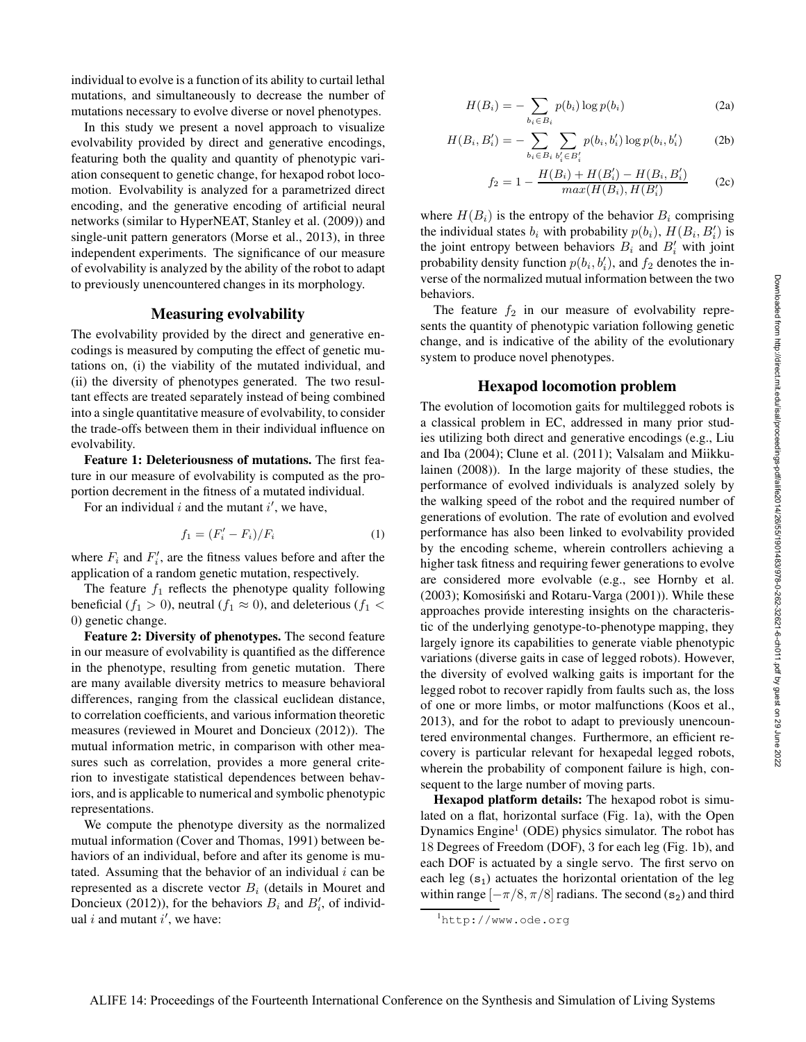individual to evolve is a function of its ability to curtail lethal mutations, and simultaneously to decrease the number of mutations necessary to evolve diverse or novel phenotypes.

In this study we present a novel approach to visualize evolvability provided by direct and generative encodings, featuring both the quality and quantity of phenotypic variation consequent to genetic change, for hexapod robot locomotion. Evolvability is analyzed for a parametrized direct encoding, and the generative encoding of artificial neural networks (similar to HyperNEAT, Stanley et al. (2009)) and single-unit pattern generators (Morse et al., 2013), in three independent experiments. The significance of our measure of evolvability is analyzed by the ability of the robot to adapt to previously unencountered changes in its morphology.

## Measuring evolvability

The evolvability provided by the direct and generative encodings is measured by computing the effect of genetic mutations on, (i) the viability of the mutated individual, and (ii) the diversity of phenotypes generated. The two resultant effects are treated separately instead of being combined into a single quantitative measure of evolvability, to consider the trade-offs between them in their individual influence on evolvability.

Feature 1: Deleteriousness of mutations. The first feature in our measure of evolvability is computed as the proportion decrement in the fitness of a mutated individual.

For an individual i and the mutant  $i'$ , we have,

$$
f_1 = (F_i' - F_i) / F_i \tag{1}
$$

where  $F_i$  and  $F'_i$ , are the fitness values before and after the application of a random genetic mutation, respectively.

The feature  $f_1$  reflects the phenotype quality following beneficial ( $f_1 > 0$ ), neutral ( $f_1 \approx 0$ ), and deleterious ( $f_1 <$ 0) genetic change.

Feature 2: Diversity of phenotypes. The second feature in our measure of evolvability is quantified as the difference in the phenotype, resulting from genetic mutation. There are many available diversity metrics to measure behavioral differences, ranging from the classical euclidean distance, to correlation coefficients, and various information theoretic measures (reviewed in Mouret and Doncieux (2012)). The mutual information metric, in comparison with other measures such as correlation, provides a more general criterion to investigate statistical dependences between behaviors, and is applicable to numerical and symbolic phenotypic representations.

We compute the phenotype diversity as the normalized mutual information (Cover and Thomas, 1991) between behaviors of an individual, before and after its genome is mutated. Assuming that the behavior of an individual  $i$  can be represented as a discrete vector  $B_i$  (details in Mouret and Doncieux (2012)), for the behaviors  $B_i$  and  $B'_i$ , of individual i and mutant  $i'$ , we have:

$$
H(B_i) = -\sum_{b_i \in B_i} p(b_i) \log p(b_i)
$$
 (2a)

$$
H(B_i, B'_i) = -\sum_{b_i \in B_i} \sum_{b'_i \in B'_i} p(b_i, b'_i) \log p(b_i, b'_i)
$$
 (2b)

$$
f_2 = 1 - \frac{H(B_i) + H(B_i') - H(B_i, B_i')}{max(H(B_i), H(B_i')} \tag{2c}
$$

where  $H(B_i)$  is the entropy of the behavior  $B_i$  comprising the individual states  $b_i$  with probability  $p(b_i)$ ,  $H(B_i, B'_i)$  is the joint entropy between behaviors  $B_i$  and  $B'_i$  with joint probability density function  $p(b_i, b'_i)$ , and  $f_2$  denotes the inverse of the normalized mutual information between the two behaviors.

The feature  $f_2$  in our measure of evolvability represents the quantity of phenotypic variation following genetic change, and is indicative of the ability of the evolutionary system to produce novel phenotypes.

## Hexapod locomotion problem

The evolution of locomotion gaits for multilegged robots is a classical problem in EC, addressed in many prior studies utilizing both direct and generative encodings (e.g., Liu and Iba (2004); Clune et al. (2011); Valsalam and Miikkulainen (2008)). In the large majority of these studies, the performance of evolved individuals is analyzed solely by the walking speed of the robot and the required number of generations of evolution. The rate of evolution and evolved performance has also been linked to evolvability provided by the encoding scheme, wherein controllers achieving a higher task fitness and requiring fewer generations to evolve are considered more evolvable (e.g., see Hornby et al.  $(2003)$ ; Komosiński and Rotaru-Varga  $(2001)$ ). While these approaches provide interesting insights on the characteristic of the underlying genotype-to-phenotype mapping, they largely ignore its capabilities to generate viable phenotypic variations (diverse gaits in case of legged robots). However, the diversity of evolved walking gaits is important for the legged robot to recover rapidly from faults such as, the loss of one or more limbs, or motor malfunctions (Koos et al., 2013), and for the robot to adapt to previously unencountered environmental changes. Furthermore, an efficient recovery is particular relevant for hexapedal legged robots, wherein the probability of component failure is high, consequent to the large number of moving parts.

Hexapod platform details: The hexapod robot is simulated on a flat, horizontal surface (Fig. 1a), with the Open Dynamics Engine<sup>1</sup> (ODE) physics simulator. The robot has 18 Degrees of Freedom (DOF), 3 for each leg (Fig. 1b), and each DOF is actuated by a single servo. The first servo on each leg  $(s_1)$  actuates the horizontal orientation of the leg within range  $[-\pi/8, \pi/8]$  radians. The second (s<sub>2</sub>) and third

<sup>1</sup>http://www.ode.org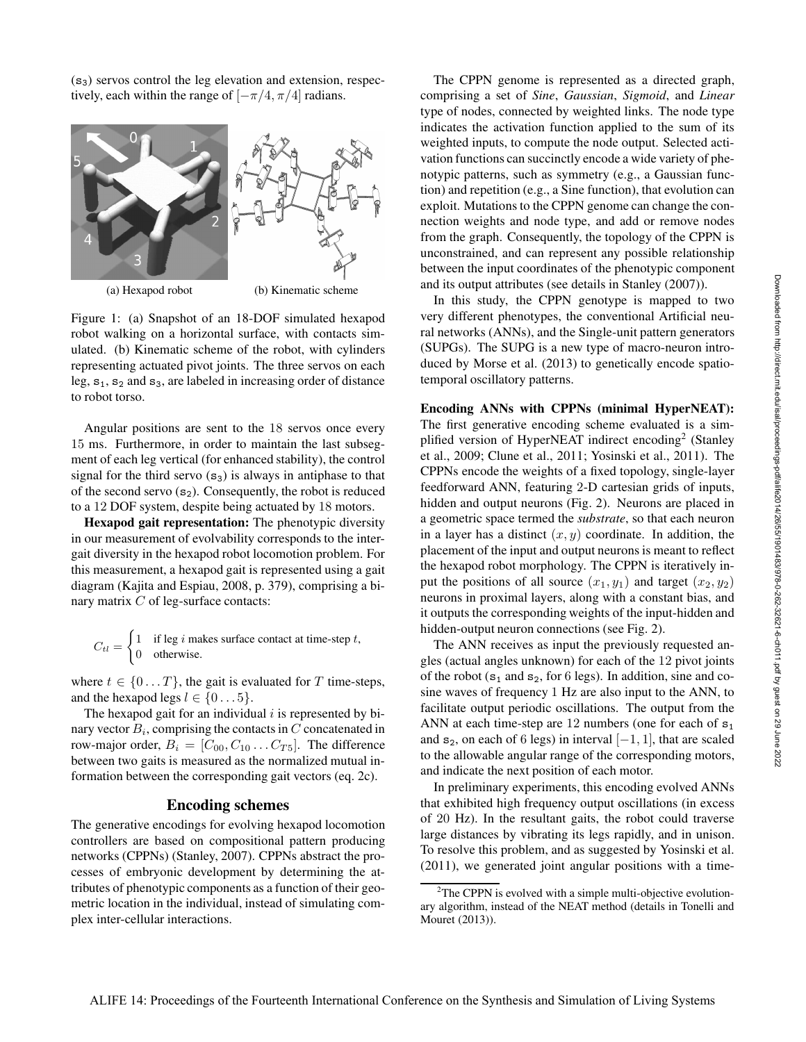$(s<sub>3</sub>)$  servos control the leg elevation and extension, respectively, each within the range of  $[-\pi/4, \pi/4]$  radians.



Figure 1: (a) Snapshot of an 18-DOF simulated hexapod robot walking on a horizontal surface, with contacts simulated. (b) Kinematic scheme of the robot, with cylinders representing actuated pivot joints. The three servos on each leg,  $s_1$ ,  $s_2$  and  $s_3$ , are labeled in increasing order of distance to robot torso.

Angular positions are sent to the 18 servos once every 15 ms. Furthermore, in order to maintain the last subsegment of each leg vertical (for enhanced stability), the control signal for the third servo  $(s_3)$  is always in antiphase to that of the second servo  $(s_2)$ . Consequently, the robot is reduced to a 12 DOF system, despite being actuated by 18 motors.

Hexapod gait representation: The phenotypic diversity in our measurement of evolvability corresponds to the intergait diversity in the hexapod robot locomotion problem. For this measurement, a hexapod gait is represented using a gait diagram (Kajita and Espiau, 2008, p. 379), comprising a binary matrix  $C$  of leg-surface contacts:

$$
C_{tl} = \begin{cases} 1 & \text{if leg } i \text{ makes surface contact at time-step } t, \\ 0 & \text{otherwise.} \end{cases}
$$

where  $t \in \{0...T\}$ , the gait is evaluated for T time-steps, and the hexapod legs  $l \in \{0...5\}$ .

The hexapod gait for an individual  $i$  is represented by binary vector  $B_i$ , comprising the contacts in  $C$  concatenated in row-major order,  $B_i = [C_{00}, C_{10} \dots C_{T5}]$ . The difference between two gaits is measured as the normalized mutual information between the corresponding gait vectors (eq. 2c).

### Encoding schemes

The generative encodings for evolving hexapod locomotion controllers are based on compositional pattern producing networks (CPPNs) (Stanley, 2007). CPPNs abstract the processes of embryonic development by determining the attributes of phenotypic components as a function of their geometric location in the individual, instead of simulating complex inter-cellular interactions.

The CPPN genome is represented as a directed graph, comprising a set of *Sine*, *Gaussian*, *Sigmoid*, and *Linear* type of nodes, connected by weighted links. The node type indicates the activation function applied to the sum of its weighted inputs, to compute the node output. Selected activation functions can succinctly encode a wide variety of phenotypic patterns, such as symmetry (e.g., a Gaussian function) and repetition (e.g., a Sine function), that evolution can exploit. Mutations to the CPPN genome can change the connection weights and node type, and add or remove nodes from the graph. Consequently, the topology of the CPPN is unconstrained, and can represent any possible relationship between the input coordinates of the phenotypic component and its output attributes (see details in Stanley (2007)).

In this study, the CPPN genotype is mapped to two very different phenotypes, the conventional Artificial neural networks (ANNs), and the Single-unit pattern generators (SUPGs). The SUPG is a new type of macro-neuron introduced by Morse et al. (2013) to genetically encode spatiotemporal oscillatory patterns.

### Encoding ANNs with CPPNs (minimal HyperNEAT):

The first generative encoding scheme evaluated is a simplified version of HyperNEAT indirect encoding<sup>2</sup> (Stanley et al., 2009; Clune et al., 2011; Yosinski et al., 2011). The CPPNs encode the weights of a fixed topology, single-layer feedforward ANN, featuring 2-D cartesian grids of inputs, hidden and output neurons (Fig. 2). Neurons are placed in a geometric space termed the *substrate*, so that each neuron in a layer has a distinct  $(x, y)$  coordinate. In addition, the placement of the input and output neurons is meant to reflect the hexapod robot morphology. The CPPN is iteratively input the positions of all source  $(x_1, y_1)$  and target  $(x_2, y_2)$ neurons in proximal layers, along with a constant bias, and it outputs the corresponding weights of the input-hidden and hidden-output neuron connections (see Fig. 2).

The ANN receives as input the previously requested angles (actual angles unknown) for each of the 12 pivot joints of the robot  $(s_1$  and  $s_2$ , for 6 legs). In addition, sine and cosine waves of frequency 1 Hz are also input to the ANN, to facilitate output periodic oscillations. The output from the ANN at each time-step are 12 numbers (one for each of  $s_1$ ) and s<sub>2</sub>, on each of 6 legs) in interval  $[-1, 1]$ , that are scaled to the allowable angular range of the corresponding motors, and indicate the next position of each motor.

In preliminary experiments, this encoding evolved ANNs that exhibited high frequency output oscillations (in excess of 20 Hz). In the resultant gaits, the robot could traverse large distances by vibrating its legs rapidly, and in unison. To resolve this problem, and as suggested by Yosinski et al. (2011), we generated joint angular positions with a time-

 $2$ The CPPN is evolved with a simple multi-objective evolutionary algorithm, instead of the NEAT method (details in Tonelli and Mouret (2013)).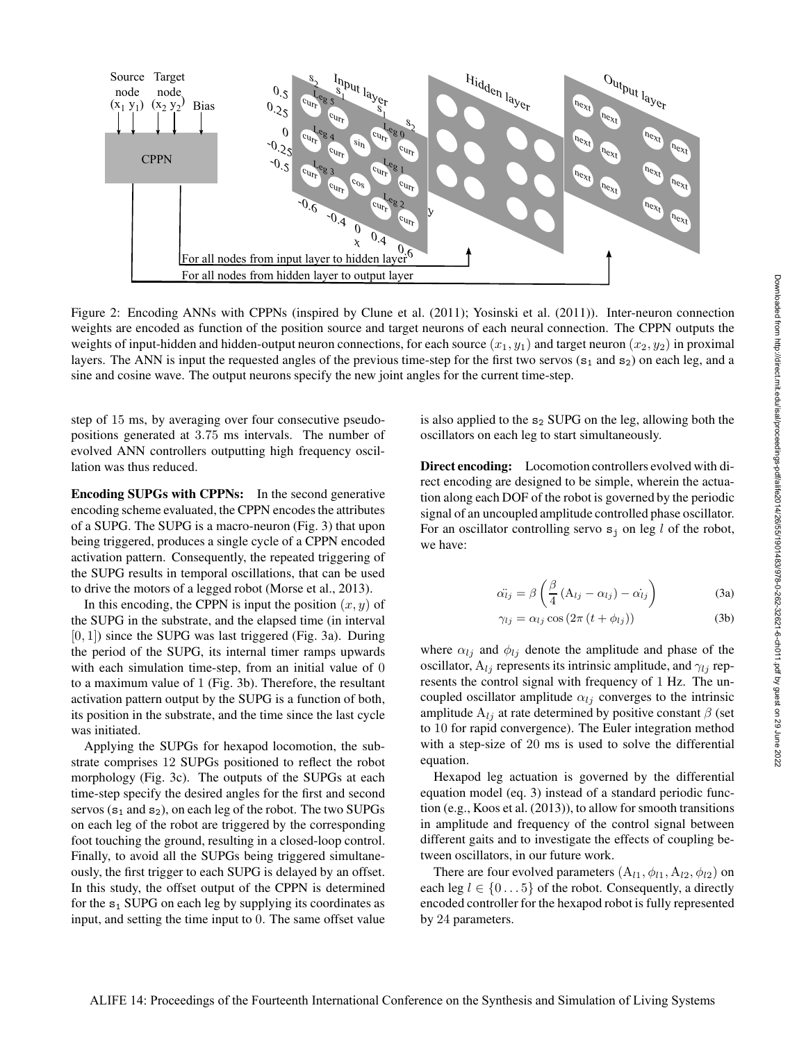

Figure 2: Encoding ANNs with CPPNs (inspired by Clune et al. (2011); Yosinski et al. (2011)). Inter-neuron connection weights are encoded as function of the position source and target neurons of each neural connection. The CPPN outputs the weights of input-hidden and hidden-output neuron connections, for each source  $(x_1, y_1)$  and target neuron  $(x_2, y_2)$  in proximal layers. The ANN is input the requested angles of the previous time-step for the first two servos  $(s_1 \text{ and } s_2)$  on each leg, and a sine and cosine wave. The output neurons specify the new joint angles for the current time-step.

step of 15 ms, by averaging over four consecutive pseudopositions generated at 3.75 ms intervals. The number of evolved ANN controllers outputting high frequency oscillation was thus reduced.

Encoding SUPGs with CPPNs: In the second generative encoding scheme evaluated, the CPPN encodes the attributes of a SUPG. The SUPG is a macro-neuron (Fig. 3) that upon being triggered, produces a single cycle of a CPPN encoded activation pattern. Consequently, the repeated triggering of the SUPG results in temporal oscillations, that can be used to drive the motors of a legged robot (Morse et al., 2013).

In this encoding, the CPPN is input the position  $(x, y)$  of the SUPG in the substrate, and the elapsed time (in interval  $[0, 1]$ ) since the SUPG was last triggered (Fig. 3a). During the period of the SUPG, its internal timer ramps upwards with each simulation time-step, from an initial value of 0 to a maximum value of 1 (Fig. 3b). Therefore, the resultant activation pattern output by the SUPG is a function of both, its position in the substrate, and the time since the last cycle was initiated.

Applying the SUPGs for hexapod locomotion, the substrate comprises 12 SUPGs positioned to reflect the robot morphology (Fig. 3c). The outputs of the SUPGs at each time-step specify the desired angles for the first and second servos ( $s_1$  and  $s_2$ ), on each leg of the robot. The two SUPGs on each leg of the robot are triggered by the corresponding foot touching the ground, resulting in a closed-loop control. Finally, to avoid all the SUPGs being triggered simultaneously, the first trigger to each SUPG is delayed by an offset. In this study, the offset output of the CPPN is determined for the  $s_1$  SUPG on each leg by supplying its coordinates as input, and setting the time input to 0. The same offset value

is also applied to the  $s_2$  SUPG on the leg, allowing both the oscillators on each leg to start simultaneously.

Direct encoding: Locomotion controllers evolved with direct encoding are designed to be simple, wherein the actuation along each DOF of the robot is governed by the periodic signal of an uncoupled amplitude controlled phase oscillator. For an oscillator controlling servo  $s_i$  on leg l of the robot, we have:

$$
\ddot{\alpha_{ij}} = \beta \left( \frac{\beta}{4} \left( A_{ij} - \alpha_{ij} \right) - \dot{\alpha_{ij}} \right)
$$
 (3a)

$$
\gamma_{lj} = \alpha_{lj} \cos(2\pi (t + \phi_{lj})) \tag{3b}
$$

where  $\alpha_{lj}$  and  $\phi_{lj}$  denote the amplitude and phase of the oscillator,  $A_{lj}$  represents its intrinsic amplitude, and  $\gamma_{lj}$  represents the control signal with frequency of 1 Hz. The uncoupled oscillator amplitude  $\alpha_{li}$  converges to the intrinsic amplitude  $A_{lj}$  at rate determined by positive constant  $\beta$  (set to 10 for rapid convergence). The Euler integration method with a step-size of 20 ms is used to solve the differential equation.

Hexapod leg actuation is governed by the differential equation model (eq. 3) instead of a standard periodic function (e.g., Koos et al. (2013)), to allow for smooth transitions in amplitude and frequency of the control signal between different gaits and to investigate the effects of coupling between oscillators, in our future work.

There are four evolved parameters  $(A_{l1}, \phi_{l1}, A_{l2}, \phi_{l2})$  on each leg  $l \in \{0...5\}$  of the robot. Consequently, a directly encoded controller for the hexapod robot is fully represented by 24 parameters.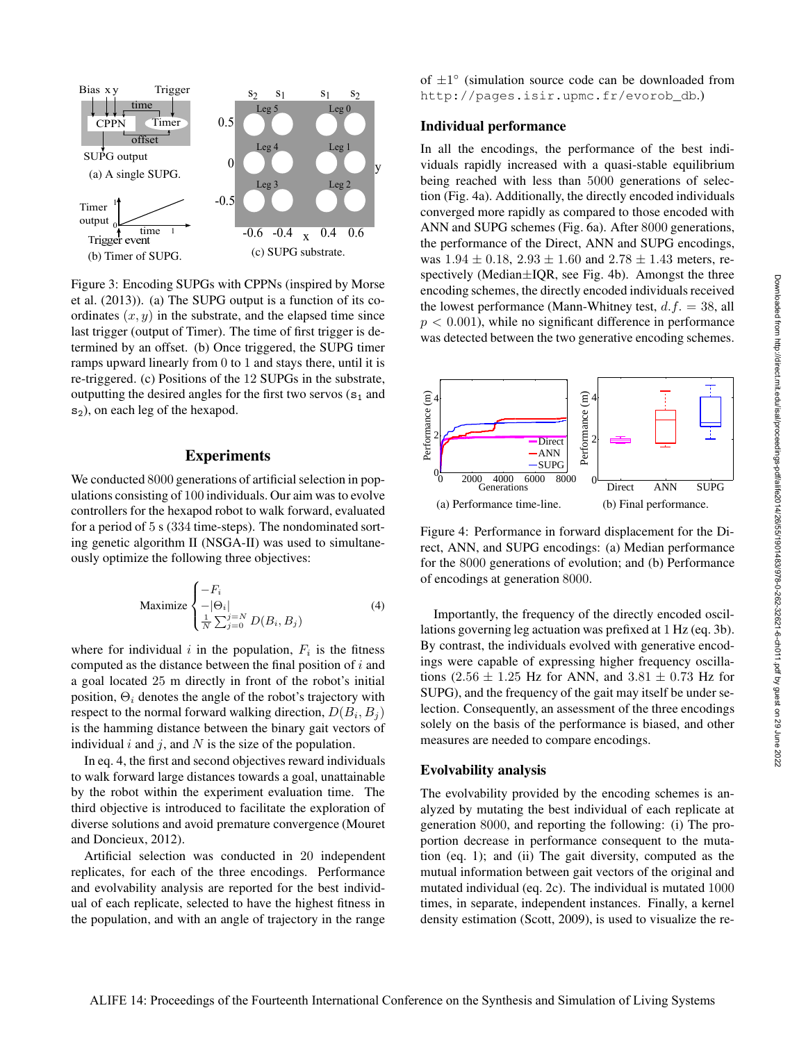

Figure 3: Encoding SUPGs with CPPNs (inspired by Morse et al. (2013)). (a) The SUPG output is a function of its coordinates  $(x, y)$  in the substrate, and the elapsed time since last trigger (output of Timer). The time of first trigger is determined by an offset. (b) Once triggered, the SUPG timer ramps upward linearly from 0 to 1 and stays there, until it is re-triggered. (c) Positions of the 12 SUPGs in the substrate, outputting the desired angles for the first two servos  $(s_1$  and s<sub>2</sub>), on each leg of the hexapod.

# Experiments

We conducted 8000 generations of artificial selection in populations consisting of 100 individuals. Our aim was to evolve controllers for the hexapod robot to walk forward, evaluated for a period of 5 s (334 time-steps). The nondominated sorting genetic algorithm II (NSGA-II) was used to simultaneously optimize the following three objectives:

$$
\text{Maximize} \begin{cases} -F_i \\ -|\Theta_i| \\ \frac{1}{N} \sum_{j=0}^{j=N} D(B_i, B_j) \end{cases} \tag{4}
$$

where for individual i in the population,  $F_i$  is the fitness computed as the distance between the final position of  $i$  and a goal located 25 m directly in front of the robot's initial position,  $\Theta_i$  denotes the angle of the robot's trajectory with respect to the normal forward walking direction,  $D(B_i, B_j)$ is the hamming distance between the binary gait vectors of individual  $i$  and  $j$ , and  $N$  is the size of the population.

In eq. 4, the first and second objectives reward individuals to walk forward large distances towards a goal, unattainable by the robot within the experiment evaluation time. The third objective is introduced to facilitate the exploration of diverse solutions and avoid premature convergence (Mouret and Doncieux, 2012).

Artificial selection was conducted in 20 independent replicates, for each of the three encodings. Performance and evolvability analysis are reported for the best individual of each replicate, selected to have the highest fitness in the population, and with an angle of trajectory in the range

of  $\pm 1^{\circ}$  (simulation source code can be downloaded from http://pages.isir.upmc.fr/evorob\_db.)

# Individual performance

In all the encodings, the performance of the best individuals rapidly increased with a quasi-stable equilibrium being reached with less than 5000 generations of selection (Fig. 4a). Additionally, the directly encoded individuals converged more rapidly as compared to those encoded with ANN and SUPG schemes (Fig. 6a). After 8000 generations, the performance of the Direct, ANN and SUPG encodings, was  $1.94 \pm 0.18$ ,  $2.93 \pm 1.60$  and  $2.78 \pm 1.43$  meters, respectively (Median±IQR, see Fig. 4b). Amongst the three encoding schemes, the directly encoded individuals received the lowest performance (Mann-Whitney test,  $d.f. = 38$ , all  $p < 0.001$ , while no significant difference in performance was detected between the two generative encoding schemes.



Figure 4: Performance in forward displacement for the Direct, ANN, and SUPG encodings: (a) Median performance for the 8000 generations of evolution; and (b) Performance of encodings at generation 8000.

Importantly, the frequency of the directly encoded oscillations governing leg actuation was prefixed at 1 Hz (eq. 3b). By contrast, the individuals evolved with generative encodings were capable of expressing higher frequency oscillations (2.56  $\pm$  1.25 Hz for ANN, and 3.81  $\pm$  0.73 Hz for SUPG), and the frequency of the gait may itself be under selection. Consequently, an assessment of the three encodings solely on the basis of the performance is biased, and other measures are needed to compare encodings.

### Evolvability analysis

The evolvability provided by the encoding schemes is analyzed by mutating the best individual of each replicate at generation 8000, and reporting the following: (i) The proportion decrease in performance consequent to the mutation (eq. 1); and (ii) The gait diversity, computed as the mutual information between gait vectors of the original and mutated individual (eq. 2c). The individual is mutated 1000 times, in separate, independent instances. Finally, a kernel density estimation (Scott, 2009), is used to visualize the re-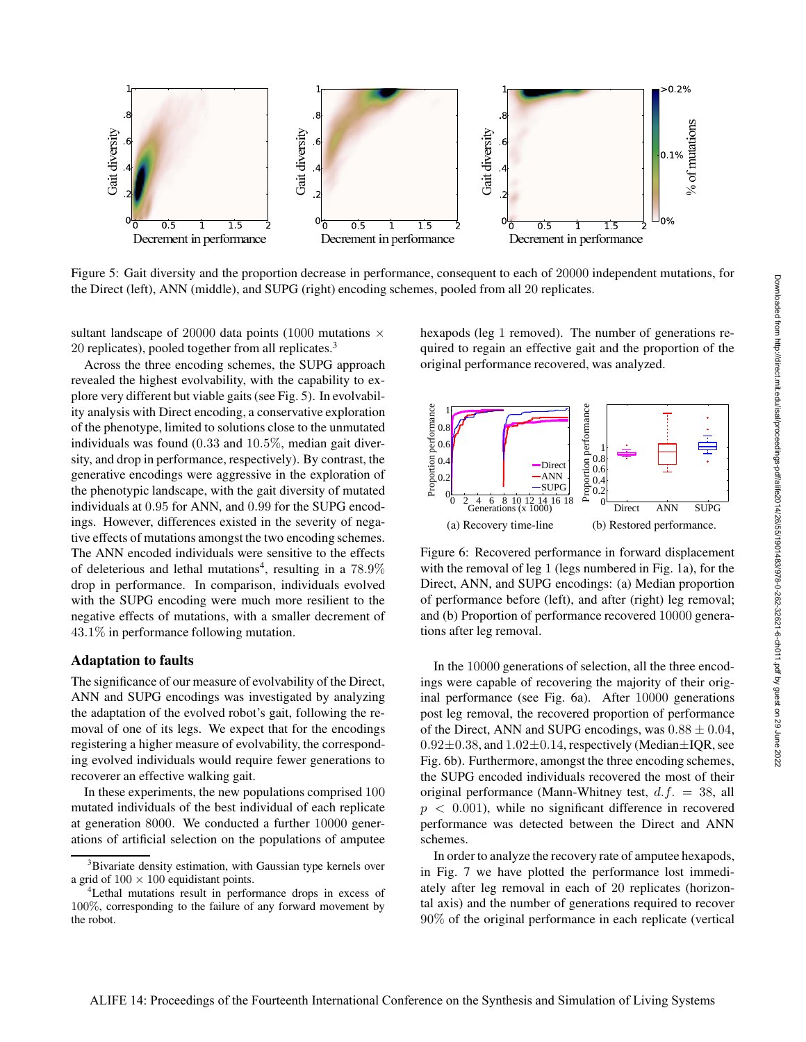

Figure 5: Gait diversity and the proportion decrease in performance, consequent to each of 20000 independent mutations, for the Direct (left), ANN (middle), and SUPG (right) encoding schemes, pooled from all 20 replicates.

sultant landscape of 20000 data points (1000 mutations  $\times$ 20 replicates), pooled together from all replicates.<sup>3</sup>

Across the three encoding schemes, the SUPG approach revealed the highest evolvability, with the capability to explore very different but viable gaits (see Fig. 5). In evolvability analysis with Direct encoding, a conservative exploration of the phenotype, limited to solutions close to the unmutated individuals was found (0.33 and 10.5%, median gait diversity, and drop in performance, respectively). By contrast, the generative encodings were aggressive in the exploration of the phenotypic landscape, with the gait diversity of mutated individuals at 0.95 for ANN, and 0.99 for the SUPG encodings. However, differences existed in the severity of negative effects of mutations amongst the two encoding schemes. The ANN encoded individuals were sensitive to the effects of deleterious and lethal mutations<sup>4</sup>, resulting in a  $78.9\%$ drop in performance. In comparison, individuals evolved with the SUPG encoding were much more resilient to the negative effects of mutations, with a smaller decrement of 43.1% in performance following mutation.

# Adaptation to faults

The significance of our measure of evolvability of the Direct, ANN and SUPG encodings was investigated by analyzing the adaptation of the evolved robot's gait, following the removal of one of its legs. We expect that for the encodings registering a higher measure of evolvability, the corresponding evolved individuals would require fewer generations to recoverer an effective walking gait.

In these experiments, the new populations comprised 100 mutated individuals of the best individual of each replicate at generation 8000. We conducted a further 10000 generations of artificial selection on the populations of amputee hexapods (leg 1 removed). The number of generations required to regain an effective gait and the proportion of the original performance recovered, was analyzed.



Figure 6: Recovered performance in forward displacement with the removal of leg 1 (legs numbered in Fig. 1a), for the Direct, ANN, and SUPG encodings: (a) Median proportion of performance before (left), and after (right) leg removal; and (b) Proportion of performance recovered 10000 generations after leg removal.

In the 10000 generations of selection, all the three encodings were capable of recovering the majority of their original performance (see Fig. 6a). After 10000 generations post leg removal, the recovered proportion of performance of the Direct, ANN and SUPG encodings, was  $0.88 \pm 0.04$ ,  $0.92\pm0.38$ , and  $1.02\pm0.14$ , respectively (Median $\pm$ IQR, see Fig. 6b). Furthermore, amongst the three encoding schemes, the SUPG encoded individuals recovered the most of their original performance (Mann-Whitney test,  $d.f. = 38$ , all  $p < 0.001$ ), while no significant difference in recovered performance was detected between the Direct and ANN schemes.

In order to analyze the recovery rate of amputee hexapods, in Fig. 7 we have plotted the performance lost immediately after leg removal in each of 20 replicates (horizontal axis) and the number of generations required to recover 90% of the original performance in each replicate (vertical

<sup>&</sup>lt;sup>3</sup>Bivariate density estimation, with Gaussian type kernels over a grid of  $100 \times 100$  equidistant points.

<sup>&</sup>lt;sup>4</sup>Lethal mutations result in performance drops in excess of 100%, corresponding to the failure of any forward movement by the robot.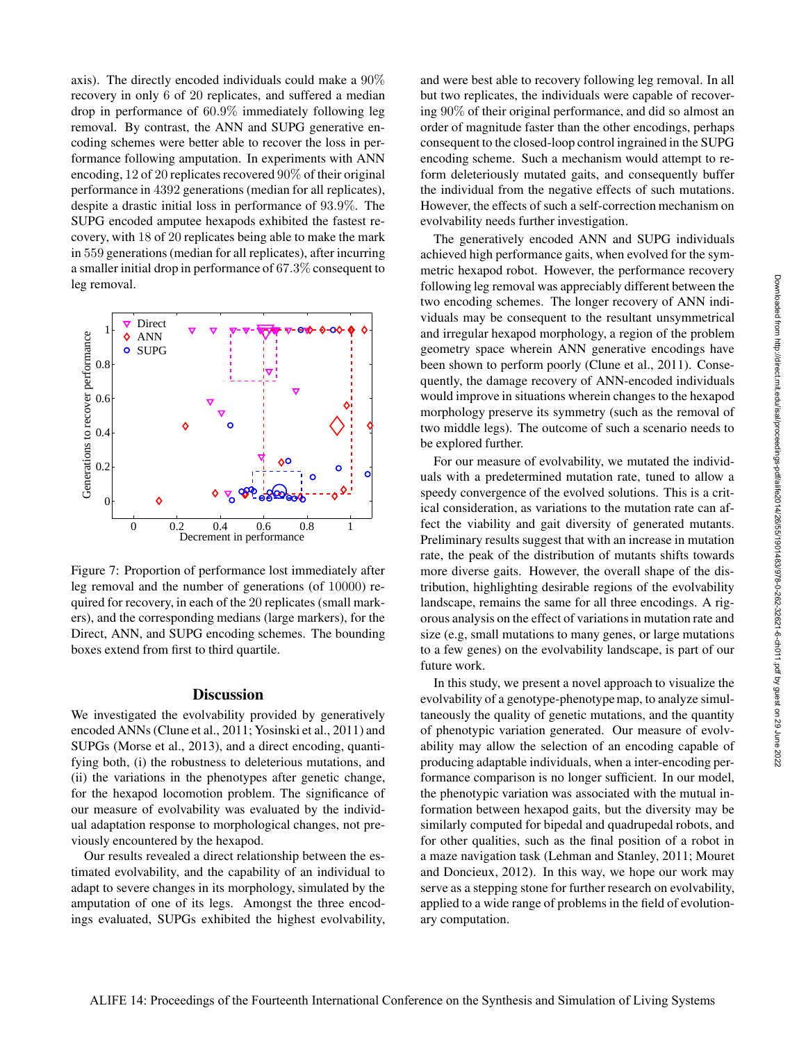axis). The directly encoded individuals could make a 90% recovery in only 6 of 20 replicates, and suffered a median drop in performance of 60.9% immediately following leg removal. By contrast, the ANN and SUPG generative encoding schemes were better able to recover the loss in performance following amputation. In experiments with ANN encoding, 12 of 20 replicates recovered 90% of their original performance in 4392 generations (median for all replicates), despite a drastic initial loss in performance of 93.9%. The SUPG encoded amputee hexapods exhibited the fastest recovery, with 18 of 20 replicates being able to make the mark in 559 generations (median for all replicates), after incurring a smaller initial drop in performance of 67.3% consequent to leg removal.



Figure 7: Proportion of performance lost immediately after leg removal and the number of generations (of 10000) required for recovery, in each of the 20 replicates (small markers), and the corresponding medians (large markers), for the Direct, ANN, and SUPG encoding schemes. The bounding boxes extend from first to third quartile.

# **Discussion**

We investigated the evolvability provided by generatively encoded ANNs (Clune et al., 2011; Yosinski et al., 2011) and SUPGs (Morse et al., 2013), and a direct encoding, quantifying both, (i) the robustness to deleterious mutations, and (ii) the variations in the phenotypes after genetic change, for the hexapod locomotion problem. The significance of our measure of evolvability was evaluated by the individual adaptation response to morphological changes, not previously encountered by the hexapod.

Our results revealed a direct relationship between the estimated evolvability, and the capability of an individual to adapt to severe changes in its morphology, simulated by the amputation of one of its legs. Amongst the three encodings evaluated, SUPGs exhibited the highest evolvability,

and were best able to recovery following leg removal. In all but two replicates, the individuals were capable of recovering 90% of their original performance, and did so almost an order of magnitude faster than the other encodings, perhaps consequent to the closed-loop control ingrained in the SUPG encoding scheme. Such a mechanism would attempt to reform deleteriously mutated gaits, and consequently buffer the individual from the negative effects of such mutations. However, the effects of such a self-correction mechanism on evolvability needs further investigation.

The generatively encoded ANN and SUPG individuals achieved high performance gaits, when evolved for the symmetric hexapod robot. However, the performance recovery following leg removal was appreciably different between the two encoding schemes. The longer recovery of ANN individuals may be consequent to the resultant unsymmetrical and irregular hexapod morphology, a region of the problem geometry space wherein ANN generative encodings have been shown to perform poorly (Clune et al., 2011). Consequently, the damage recovery of ANN-encoded individuals would improve in situations wherein changes to the hexapod morphology preserve its symmetry (such as the removal of two middle legs). The outcome of such a scenario needs to be explored further.

For our measure of evolvability, we mutated the individuals with a predetermined mutation rate, tuned to allow a speedy convergence of the evolved solutions. This is a critical consideration, as variations to the mutation rate can affect the viability and gait diversity of generated mutants. Preliminary results suggest that with an increase in mutation rate, the peak of the distribution of mutants shifts towards more diverse gaits. However, the overall shape of the distribution, highlighting desirable regions of the evolvability landscape, remains the same for all three encodings. A rigorous analysis on the effect of variations in mutation rate and size (e.g, small mutations to many genes, or large mutations to a few genes) on the evolvability landscape, is part of our future work.

In this study, we present a novel approach to visualize the evolvability of a genotype-phenotype map, to analyze simultaneously the quality of genetic mutations, and the quantity of phenotypic variation generated. Our measure of evolvability may allow the selection of an encoding capable of producing adaptable individuals, when a inter-encoding performance comparison is no longer sufficient. In our model, the phenotypic variation was associated with the mutual information between hexapod gaits, but the diversity may be similarly computed for bipedal and quadrupedal robots, and for other qualities, such as the final position of a robot in a maze navigation task (Lehman and Stanley, 2011; Mouret and Doncieux, 2012). In this way, we hope our work may serve as a stepping stone for further research on evolvability, applied to a wide range of problems in the field of evolutionary computation.